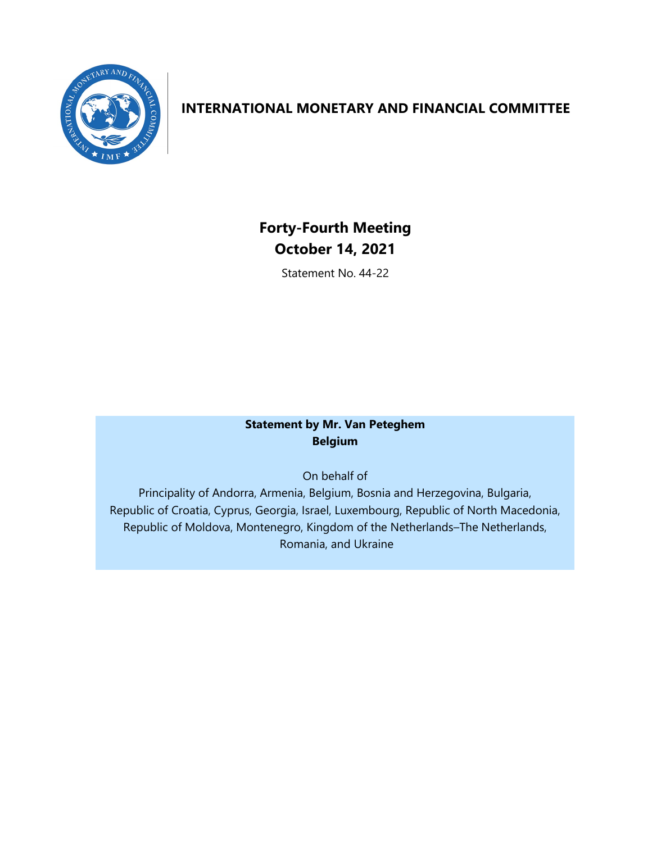

# **INTERNATIONAL MONETARY AND FINANCIAL COMMITTEE**

**Forty-Fourth Meeting October 14, 2021** 

Statement No. 44-22

## **Statement by Mr. Van Peteghem Belgium**

On behalf of

Principality of Andorra, Armenia, Belgium, Bosnia and Herzegovina, Bulgaria, Republic of Croatia, Cyprus, Georgia, Israel, Luxembourg, Republic of North Macedonia, Republic of Moldova, Montenegro, Kingdom of the Netherlands–The Netherlands, Romania, and Ukraine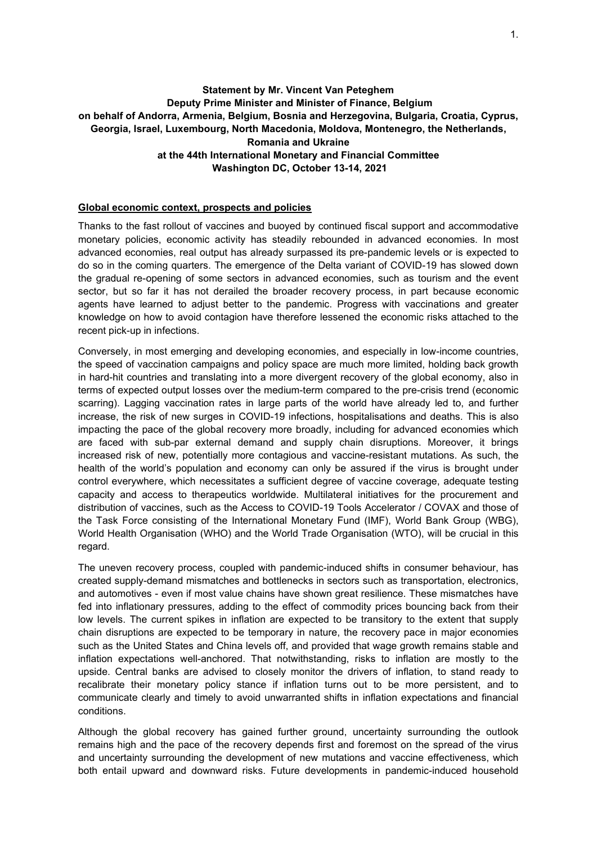## **Statement by Mr. Vincent Van Peteghem Deputy Prime Minister and Minister of Finance, Belgium on behalf of Andorra, Armenia, Belgium, Bosnia and Herzegovina, Bulgaria, Croatia, Cyprus, Georgia, Israel, Luxembourg, North Macedonia, Moldova, Montenegro, the Netherlands, Romania and Ukraine at the 44th International Monetary and Financial Committee Washington DC, October 13-14, 2021**

#### **Global economic context, prospects and policies**

Thanks to the fast rollout of vaccines and buoyed by continued fiscal support and accommodative monetary policies, economic activity has steadily rebounded in advanced economies. In most advanced economies, real output has already surpassed its pre-pandemic levels or is expected to do so in the coming quarters. The emergence of the Delta variant of COVID-19 has slowed down the gradual re-opening of some sectors in advanced economies, such as tourism and the event sector, but so far it has not derailed the broader recovery process, in part because economic agents have learned to adjust better to the pandemic. Progress with vaccinations and greater knowledge on how to avoid contagion have therefore lessened the economic risks attached to the recent pick-up in infections.

Conversely, in most emerging and developing economies, and especially in low-income countries, the speed of vaccination campaigns and policy space are much more limited, holding back growth in hard-hit countries and translating into a more divergent recovery of the global economy, also in terms of expected output losses over the medium-term compared to the pre-crisis trend (economic scarring). Lagging vaccination rates in large parts of the world have already led to, and further increase, the risk of new surges in COVID-19 infections, hospitalisations and deaths. This is also impacting the pace of the global recovery more broadly, including for advanced economies which are faced with sub-par external demand and supply chain disruptions. Moreover, it brings increased risk of new, potentially more contagious and vaccine-resistant mutations. As such, the health of the world's population and economy can only be assured if the virus is brought under control everywhere, which necessitates a sufficient degree of vaccine coverage, adequate testing capacity and access to therapeutics worldwide. Multilateral initiatives for the procurement and distribution of vaccines, such as the Access to COVID-19 Tools Accelerator / COVAX and those of the Task Force consisting of the International Monetary Fund (IMF), World Bank Group (WBG), World Health Organisation (WHO) and the World Trade Organisation (WTO), will be crucial in this regard.

The uneven recovery process, coupled with pandemic-induced shifts in consumer behaviour, has created supply-demand mismatches and bottlenecks in sectors such as transportation, electronics, and automotives - even if most value chains have shown great resilience. These mismatches have fed into inflationary pressures, adding to the effect of commodity prices bouncing back from their low levels. The current spikes in inflation are expected to be transitory to the extent that supply chain disruptions are expected to be temporary in nature, the recovery pace in major economies such as the United States and China levels off, and provided that wage growth remains stable and inflation expectations well-anchored. That notwithstanding, risks to inflation are mostly to the upside. Central banks are advised to closely monitor the drivers of inflation, to stand ready to recalibrate their monetary policy stance if inflation turns out to be more persistent, and to communicate clearly and timely to avoid unwarranted shifts in inflation expectations and financial conditions.

Although the global recovery has gained further ground, uncertainty surrounding the outlook remains high and the pace of the recovery depends first and foremost on the spread of the virus and uncertainty surrounding the development of new mutations and vaccine effectiveness, which both entail upward and downward risks. Future developments in pandemic-induced household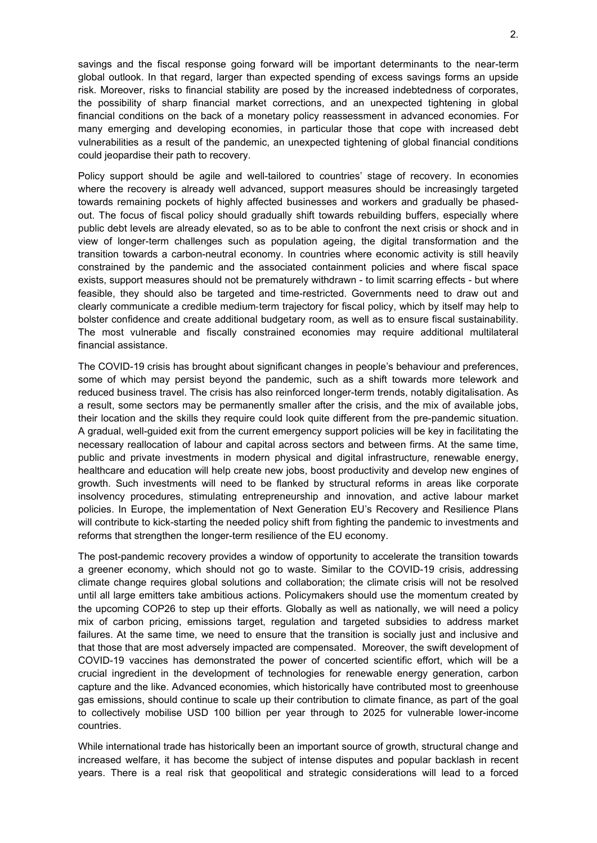savings and the fiscal response going forward will be important determinants to the near-term global outlook. In that regard, larger than expected spending of excess savings forms an upside risk. Moreover, risks to financial stability are posed by the increased indebtedness of corporates, the possibility of sharp financial market corrections, and an unexpected tightening in global financial conditions on the back of a monetary policy reassessment in advanced economies. For many emerging and developing economies, in particular those that cope with increased debt vulnerabilities as a result of the pandemic, an unexpected tightening of global financial conditions could jeopardise their path to recovery.

Policy support should be agile and well-tailored to countries' stage of recovery. In economies where the recovery is already well advanced, support measures should be increasingly targeted towards remaining pockets of highly affected businesses and workers and gradually be phasedout. The focus of fiscal policy should gradually shift towards rebuilding buffers, especially where public debt levels are already elevated, so as to be able to confront the next crisis or shock and in view of longer-term challenges such as population ageing, the digital transformation and the transition towards a carbon-neutral economy. In countries where economic activity is still heavily constrained by the pandemic and the associated containment policies and where fiscal space exists, support measures should not be prematurely withdrawn - to limit scarring effects - but where feasible, they should also be targeted and time-restricted. Governments need to draw out and clearly communicate a credible medium‑term trajectory for fiscal policy, which by itself may help to bolster confidence and create additional budgetary room, as well as to ensure fiscal sustainability. The most vulnerable and fiscally constrained economies may require additional multilateral financial assistance.

The COVID-19 crisis has brought about significant changes in people's behaviour and preferences, some of which may persist beyond the pandemic, such as a shift towards more telework and reduced business travel. The crisis has also reinforced longer-term trends, notably digitalisation. As a result, some sectors may be permanently smaller after the crisis, and the mix of available jobs, their location and the skills they require could look quite different from the pre-pandemic situation. A gradual, well-guided exit from the current emergency support policies will be key in facilitating the necessary reallocation of labour and capital across sectors and between firms. At the same time, public and private investments in modern physical and digital infrastructure, renewable energy, healthcare and education will help create new jobs, boost productivity and develop new engines of growth. Such investments will need to be flanked by structural reforms in areas like corporate insolvency procedures, stimulating entrepreneurship and innovation, and active labour market policies. In Europe, the implementation of Next Generation EU's Recovery and Resilience Plans will contribute to kick-starting the needed policy shift from fighting the pandemic to investments and reforms that strengthen the longer-term resilience of the EU economy.

The post-pandemic recovery provides a window of opportunity to accelerate the transition towards a greener economy, which should not go to waste. Similar to the COVID-19 crisis, addressing climate change requires global solutions and collaboration; the climate crisis will not be resolved until all large emitters take ambitious actions. Policymakers should use the momentum created by the upcoming COP26 to step up their efforts. Globally as well as nationally, we will need a policy mix of carbon pricing, emissions target, regulation and targeted subsidies to address market failures. At the same time, we need to ensure that the transition is socially just and inclusive and that those that are most adversely impacted are compensated. Moreover, the swift development of COVID-19 vaccines has demonstrated the power of concerted scientific effort, which will be a crucial ingredient in the development of technologies for renewable energy generation, carbon capture and the like. Advanced economies, which historically have contributed most to greenhouse gas emissions, should continue to scale up their contribution to climate finance, as part of the goal to collectively mobilise USD 100 billion per year through to 2025 for vulnerable lower-income countries.

While international trade has historically been an important source of growth, structural change and increased welfare, it has become the subject of intense disputes and popular backlash in recent years. There is a real risk that geopolitical and strategic considerations will lead to a forced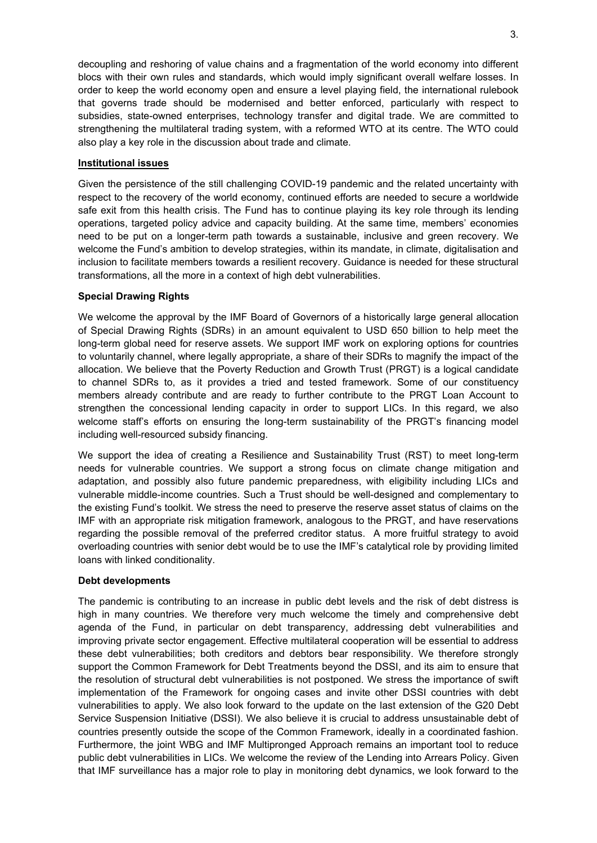decoupling and reshoring of value chains and a fragmentation of the world economy into different blocs with their own rules and standards, which would imply significant overall welfare losses. In order to keep the world economy open and ensure a level playing field, the international rulebook that governs trade should be modernised and better enforced, particularly with respect to subsidies, state-owned enterprises, technology transfer and digital trade. We are committed to strengthening the multilateral trading system, with a reformed WTO at its centre. The WTO could also play a key role in the discussion about trade and climate.

#### **Institutional issues**

Given the persistence of the still challenging COVID-19 pandemic and the related uncertainty with respect to the recovery of the world economy, continued efforts are needed to secure a worldwide safe exit from this health crisis. The Fund has to continue playing its key role through its lending operations, targeted policy advice and capacity building. At the same time, members' economies need to be put on a longer-term path towards a sustainable, inclusive and green recovery. We welcome the Fund's ambition to develop strategies, within its mandate, in climate, digitalisation and inclusion to facilitate members towards a resilient recovery. Guidance is needed for these structural transformations, all the more in a context of high debt vulnerabilities.

#### **Special Drawing Rights**

We welcome the approval by the IMF Board of Governors of a historically large general allocation of Special Drawing Rights (SDRs) in an amount equivalent to USD 650 billion to help meet the long-term global need for reserve assets. We support IMF work on exploring options for countries to voluntarily channel, where legally appropriate, a share of their SDRs to magnify the impact of the allocation. We believe that the Poverty Reduction and Growth Trust (PRGT) is a logical candidate to channel SDRs to, as it provides a tried and tested framework. Some of our constituency members already contribute and are ready to further contribute to the PRGT Loan Account to strengthen the concessional lending capacity in order to support LICs. In this regard, we also welcome staff's efforts on ensuring the long-term sustainability of the PRGT's financing model including well-resourced subsidy financing.

We support the idea of creating a Resilience and Sustainability Trust (RST) to meet long-term needs for vulnerable countries. We support a strong focus on climate change mitigation and adaptation, and possibly also future pandemic preparedness, with eligibility including LICs and vulnerable middle-income countries. Such a Trust should be well-designed and complementary to the existing Fund's toolkit. We stress the need to preserve the reserve asset status of claims on the IMF with an appropriate risk mitigation framework, analogous to the PRGT, and have reservations regarding the possible removal of the preferred creditor status. A more fruitful strategy to avoid overloading countries with senior debt would be to use the IMF's catalytical role by providing limited loans with linked conditionality.

#### **Debt developments**

The pandemic is contributing to an increase in public debt levels and the risk of debt distress is high in many countries. We therefore very much welcome the timely and comprehensive debt agenda of the Fund, in particular on debt transparency, addressing debt vulnerabilities and improving private sector engagement. Effective multilateral cooperation will be essential to address these debt vulnerabilities; both creditors and debtors bear responsibility. We therefore strongly support the Common Framework for Debt Treatments beyond the DSSI, and its aim to ensure that the resolution of structural debt vulnerabilities is not postponed. We stress the importance of swift implementation of the Framework for ongoing cases and invite other DSSI countries with debt vulnerabilities to apply. We also look forward to the update on the last extension of the G20 Debt Service Suspension Initiative (DSSI). We also believe it is crucial to address unsustainable debt of countries presently outside the scope of the Common Framework, ideally in a coordinated fashion. Furthermore, the joint WBG and IMF Multipronged Approach remains an important tool to reduce public debt vulnerabilities in LICs. We welcome the review of the Lending into Arrears Policy. Given that IMF surveillance has a major role to play in monitoring debt dynamics, we look forward to the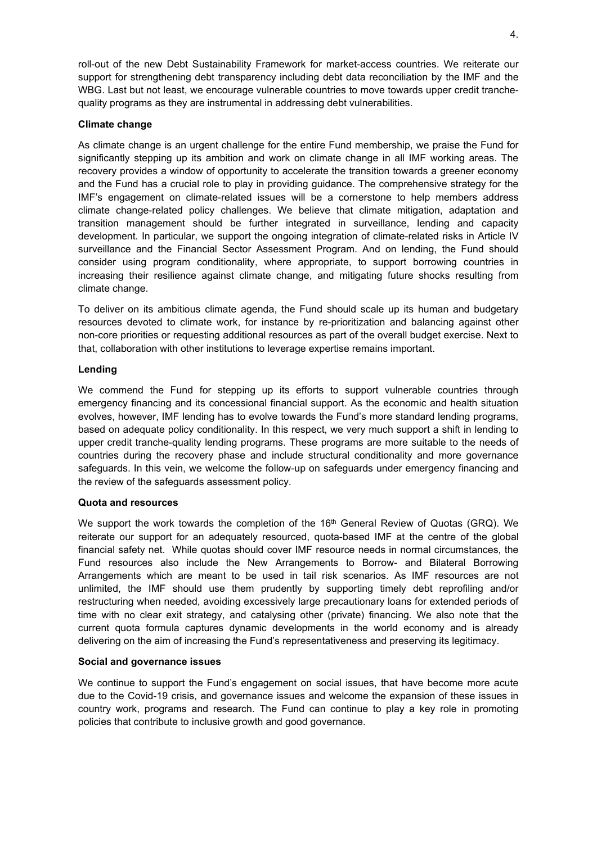roll-out of the new Debt Sustainability Framework for market-access countries. We reiterate our support for strengthening debt transparency including debt data reconciliation by the IMF and the WBG. Last but not least, we encourage vulnerable countries to move towards upper credit tranchequality programs as they are instrumental in addressing debt vulnerabilities.

### **Climate change**

As climate change is an urgent challenge for the entire Fund membership, we praise the Fund for significantly stepping up its ambition and work on climate change in all IMF working areas. The recovery provides a window of opportunity to accelerate the transition towards a greener economy and the Fund has a crucial role to play in providing guidance. The comprehensive strategy for the IMF's engagement on climate-related issues will be a cornerstone to help members address climate change-related policy challenges. We believe that climate mitigation, adaptation and transition management should be further integrated in surveillance, lending and capacity development. In particular, we support the ongoing integration of climate-related risks in Article IV surveillance and the Financial Sector Assessment Program. And on lending, the Fund should consider using program conditionality, where appropriate, to support borrowing countries in increasing their resilience against climate change, and mitigating future shocks resulting from climate change.

To deliver on its ambitious climate agenda, the Fund should scale up its human and budgetary resources devoted to climate work, for instance by re-prioritization and balancing against other non-core priorities or requesting additional resources as part of the overall budget exercise. Next to that, collaboration with other institutions to leverage expertise remains important.

#### **Lending**

We commend the Fund for stepping up its efforts to support vulnerable countries through emergency financing and its concessional financial support. As the economic and health situation evolves, however, IMF lending has to evolve towards the Fund's more standard lending programs, based on adequate policy conditionality. In this respect, we very much support a shift in lending to upper credit tranche-quality lending programs. These programs are more suitable to the needs of countries during the recovery phase and include structural conditionality and more governance safeguards. In this vein, we welcome the follow-up on safeguards under emergency financing and the review of the safeguards assessment policy.

#### **Quota and resources**

We support the work towards the completion of the 16<sup>th</sup> General Review of Quotas (GRQ). We reiterate our support for an adequately resourced, quota-based IMF at the centre of the global financial safety net. While quotas should cover IMF resource needs in normal circumstances, the Fund resources also include the New Arrangements to Borrow- and Bilateral Borrowing Arrangements which are meant to be used in tail risk scenarios. As IMF resources are not unlimited, the IMF should use them prudently by supporting timely debt reprofiling and/or restructuring when needed, avoiding excessively large precautionary loans for extended periods of time with no clear exit strategy, and catalysing other (private) financing. We also note that the current quota formula captures dynamic developments in the world economy and is already delivering on the aim of increasing the Fund's representativeness and preserving its legitimacy.

#### **Social and governance issues**

We continue to support the Fund's engagement on social issues, that have become more acute due to the Covid-19 crisis, and governance issues and welcome the expansion of these issues in country work, programs and research. The Fund can continue to play a key role in promoting policies that contribute to inclusive growth and good governance.